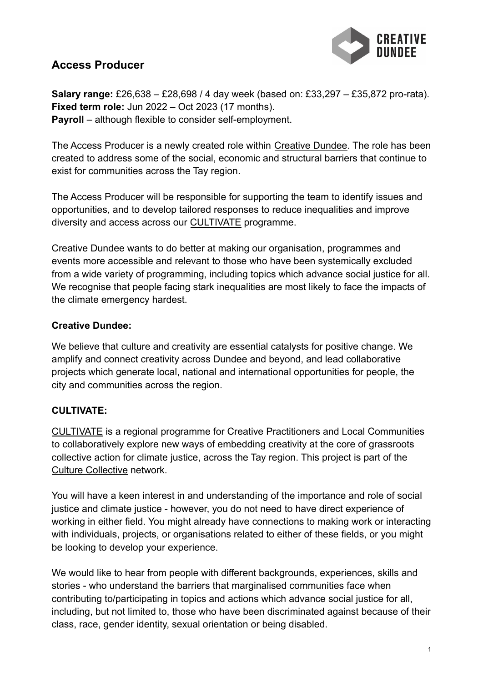

# **Access Producer**

**Salary range:** £26,638 – £28,698 / 4 day week (based on: £33,297 – £35,872 pro-rata). **Fixed term role:** Jun 2022 – Oct 2023 (17 months). **Payroll** – although flexible to consider self-employment.

The Access Producer is a newly created role within [Creative Dundee.](https://creativedundee.com) The role has been created to address some of the social, economic and structural barriers that continue to exist for communities across the Tay region.

The Access Producer will be responsible for supporting the team to identify issues and opportunities, and to develop tailored responses to reduce inequalities and improve diversity and access across our [CULTIVATE](https://creativedundee.com/cultivate/) programme.

Creative Dundee wants to do better at making our organisation, programmes and events more accessible and relevant to those who have been systemically excluded from a wide variety of programming, including topics which advance social justice for all. We recognise that people facing stark inequalities are most likely to face the impacts of the climate emergency hardest.

### **Creative Dundee:**

We believe that culture and creativity are essential catalysts for positive change. We amplify and connect creativity across Dundee and beyond, and lead collaborative projects which generate local, national and international opportunities for people, the city and communities across the region.

## **CULTIVATE:**

[CULTIVATE](https://creativedundee.com/cultivate/) is a regional programme for Creative Practitioners and Local Communities to collaboratively explore new ways of embedding creativity at the core of grassroots collective action for climate justice, across the Tay region. This project is part of the [Culture Collective](https://www.culturecollective.scot) network.

You will have a keen interest in and understanding of the importance and role of social justice and climate justice - however, you do not need to have direct experience of working in either field. You might already have connections to making work or interacting with individuals, projects, or organisations related to either of these fields, or you might be looking to develop your experience.

We would like to hear from people with different backgrounds, experiences, skills and stories - who understand the barriers that marginalised communities face when contributing to/participating in topics and actions which advance social justice for all, including, but not limited to, those who have been discriminated against because of their class, race, gender identity, sexual orientation or being disabled.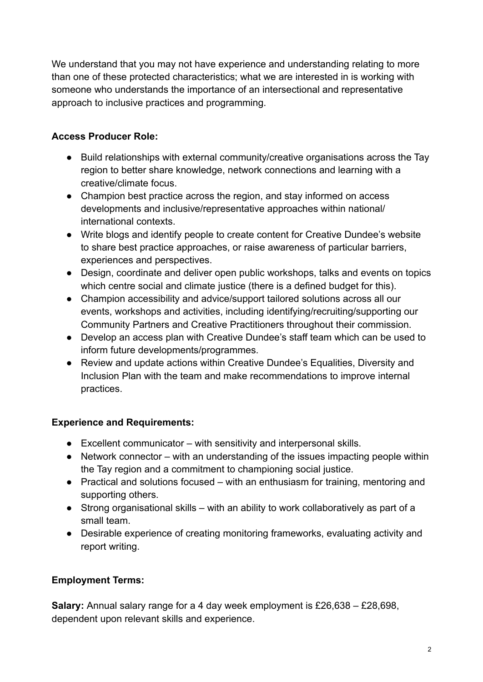We understand that you may not have experience and understanding relating to more than one of these protected characteristics; what we are interested in is working with someone who understands the importance of an intersectional and representative approach to inclusive practices and programming.

## **Access Producer Role:**

- Build relationships with external community/creative organisations across the Tay region to better share knowledge, network connections and learning with a creative/climate focus.
- Champion best practice across the region, and stay informed on access developments and inclusive/representative approaches within national/ international contexts.
- Write blogs and identify people to create content for Creative Dundee's website to share best practice approaches, or raise awareness of particular barriers, experiences and perspectives.
- Design, coordinate and deliver open public workshops, talks and events on topics which centre social and climate justice (there is a defined budget for this).
- Champion accessibility and advice/support tailored solutions across all our events, workshops and activities, including identifying/recruiting/supporting our Community Partners and Creative Practitioners throughout their commission.
- Develop an access plan with Creative Dundee's staff team which can be used to inform future developments/programmes.
- Review and update actions within Creative Dundee's Equalities, Diversity and Inclusion Plan with the team and make recommendations to improve internal practices.

## **Experience and Requirements:**

- Excellent communicator with sensitivity and interpersonal skills.
- Network connector with an understanding of the issues impacting people within the Tay region and a commitment to championing social justice.
- Practical and solutions focused with an enthusiasm for training, mentoring and supporting others.
- Strong organisational skills with an ability to work collaboratively as part of a small team.
- Desirable experience of creating monitoring frameworks, evaluating activity and report writing.

## **Employment Terms:**

**Salary:** Annual salary range for a 4 day week employment is £26,638 – £28,698, dependent upon relevant skills and experience.